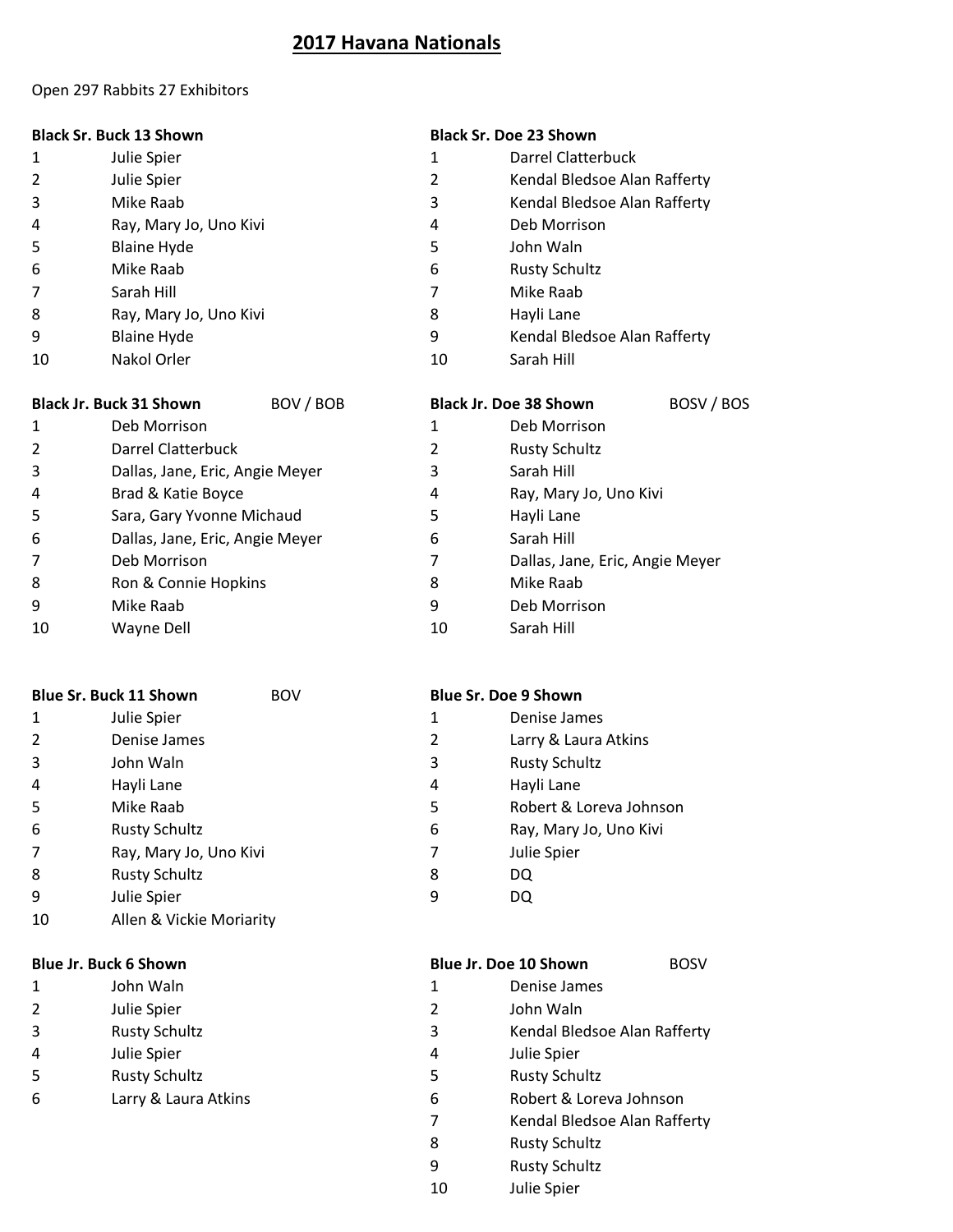## **2017 Havana Nationals**

#### Open 297 Rabbits 27 Exhibitors

|  |  | <b>Black Sr. Buck 13 Shown</b> |
|--|--|--------------------------------|
|--|--|--------------------------------|

### **Black Sr. Buck 13 Shown Black Sr. Doe 23 Shown**

- 1 Julie Spier 1 Darrel Clatterbuck
- Julie Spier 2 Kendal Bledsoe Alan Rafferty
- Mike Raab 3 Kendal Bledsoe Alan Rafferty
- Ray, Mary Jo, Uno Kivi 4 Deb Morrison
- 5 Blaine Hyde **5** John Waln
- Mike Raab 6 Rusty Schultz
- Sarah Hill 7 Mike Raab
- 8 Ray, Mary Jo, Uno Kivi 8 8 Hayli Lane
- 9 Blaine Hyde **19 Contract 20 Blaine Hyde** 19 Contract 20 Blaine Hyde 19 Alan Rafferty
- 10 Nakol Orler 10 Sarah Hill

| <b>Black Jr. Buck 31 Shown</b> |                                 | BOV / BOB<br><b>Black Jr. Doe 38 Shown</b> |    |                                 | BOSV / BOS |
|--------------------------------|---------------------------------|--------------------------------------------|----|---------------------------------|------------|
|                                | Deb Morrison                    |                                            | 1  | Deb Morrison                    |            |
|                                | Darrel Clatterbuck              |                                            | 2  | <b>Rusty Schultz</b>            |            |
| 3                              | Dallas, Jane, Eric, Angie Meyer |                                            | 3  | Sarah Hill                      |            |
| 4                              | Brad & Katie Boyce              |                                            | 4  | Ray, Mary Jo, Uno Kivi          |            |
| 5                              | Sara, Gary Yvonne Michaud       |                                            | 5  | Hayli Lane                      |            |
| 6                              | Dallas, Jane, Eric, Angie Meyer |                                            | 6  | Sarah Hill                      |            |
|                                | Deb Morrison                    |                                            | 7  | Dallas, Jane, Eric, Angie Meyer |            |
| 8                              | Ron & Connie Hopkins            |                                            | 8  | Mike Raab                       |            |
| 9                              | Mike Raab                       |                                            | 9  | Deb Morrison                    |            |
| 10                             | Wayne Dell                      |                                            | 10 | Sarah Hill                      |            |

|   | <b>Blue Sr. Buck 11 Shown</b> | <b>BOV</b> |   | <b>Blue Sr. Doe 9 Shown</b> |
|---|-------------------------------|------------|---|-----------------------------|
| 1 | Julie Spier                   |            | 1 | Denise James                |
|   | Denise James                  |            | 2 | Larry & Laura Atkins        |
| 3 | John Waln                     |            | 3 | <b>Rusty Schultz</b>        |
| 4 | Hayli Lane                    |            | 4 | Hayli Lane                  |
| 5 | Mike Raab                     |            | 5 | Robert & Loreva Johnson     |
| 6 | <b>Rusty Schultz</b>          |            | 6 | Ray, Mary Jo, Uno Kivi      |
|   | Ray, Mary Jo, Uno Kivi        |            | 7 | Julie Spier                 |
| 8 | <b>Rusty Schultz</b>          |            | 8 | DQ                          |
| 9 | Julie Spier                   |            | 9 | DQ                          |

Allen & Vickie Moriarity

- 
- Julie Spier 2 John Waln
- 
- 
- 
- 
- 
- 
- 

## **Blue Jr. Buck 6 Shown** BOSV **Blue Jr. Doe 10 Shown** BOSV

- John Waln 1 Denise James
	-
- Rusty Schultz 3 Kendal Bledsoe Alan Rafferty
- Julie Spier 4 Julie Spier
- Rusty Schultz 5 Rusty Schultz
- Larry & Laura Atkins 6 Robert & Loreva Johnson
	- Kendal Bledsoe Alan Rafferty
	- Rusty Schultz
	- Rusty Schultz
	- Julie Spier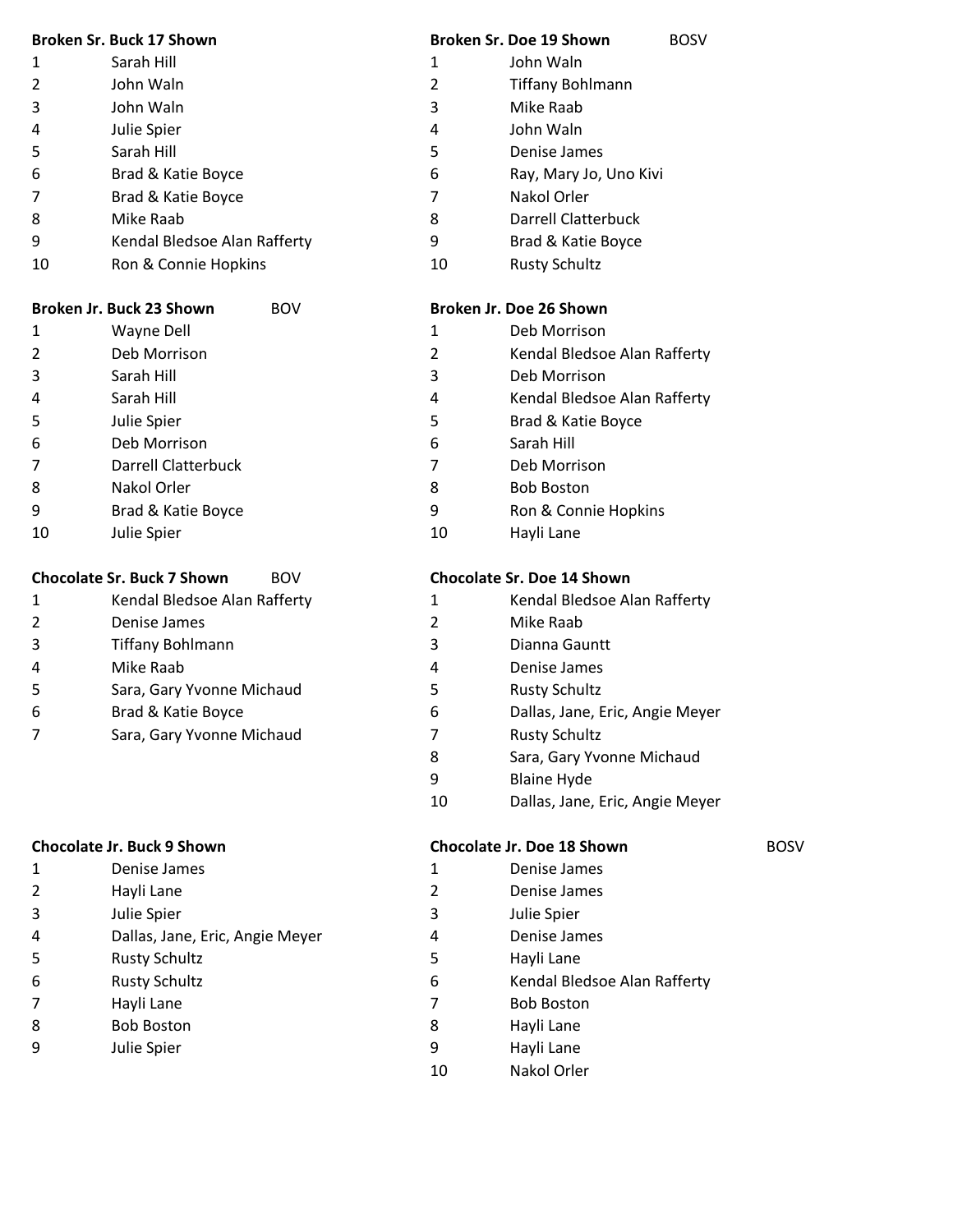|                | Broken Sr. Buck 17 Shown     |    | <b>Broken Sr. Doe 19 Shown</b> | <b>BOSV</b> |
|----------------|------------------------------|----|--------------------------------|-------------|
| 1              | Sarah Hill                   | 1  | John Waln                      |             |
| $\overline{2}$ | John Waln                    | 2  | <b>Tiffany Bohlmann</b>        |             |
| 3              | John Waln                    | 3  | Mike Raab                      |             |
| 4              | Julie Spier                  | 4  | John Waln                      |             |
| 5              | Sarah Hill                   | 5  | Denise James                   |             |
| 6              | Brad & Katie Boyce           | 6  | Ray, Mary Jo, Uno Kivi         |             |
| 7              | Brad & Katie Boyce           | 7  | Nakol Orler                    |             |
| 8              | Mike Raab                    | 8  | Darrell Clatterbuck            |             |
| 9              | Kendal Bledsoe Alan Rafferty | 9  | Brad & Katie Boyce             |             |
| 10             | Ron & Connie Hopkins         | 10 | <b>Rusty Schultz</b>           |             |

| Broken Jr. Buck 23 Shown |              |  |  |  |
|--------------------------|--------------|--|--|--|
| 1                        | Wayne Dell   |  |  |  |
| 2                        | Deb Morrison |  |  |  |
| 3                        | Sarah Hill   |  |  |  |
| 4                        | Sarah Hill   |  |  |  |
| 5                        | Julie Spier  |  |  |  |
| 6                        | Deb Morrison |  |  |  |

- 7 Darrell Clatterbuck 7 Deb Morrison 8 Nakol Orler 8 Bob Boston
- 
- 

## **Chocolate Sr. Buck 7 Shown** BOV **Chocolate Sr. Doe 14 Shown**

| 1 | Kendal Bledsoe Alan Rafferty |
|---|------------------------------|
| 2 | Denise James                 |
| 3 | <b>Tiffany Bohlmann</b>      |
| 4 | Mike Raab                    |
| 5 | Sara, Gary Yvonne Michaud    |
| 6 | Brad & Katie Boyce           |
| 7 | Sara, Gary Yvonne Michaud    |
|   |                              |

| 1 | Denise James                    |
|---|---------------------------------|
| 2 | Hayli Lane                      |
| 3 | Julie Spier                     |
| 4 | Dallas, Jane, Eric, Angie Meyer |
| 5 | <b>Rusty Schultz</b>            |
| 6 | <b>Rusty Schultz</b>            |
| 7 | Hayli Lane                      |
| 8 | <b>Bob Boston</b>               |
| 9 | Julie Spier                     |
|   |                                 |

## **Broken Jr. Doe 26 Shown**

- 1 Deb Morrison
- 2 Kendal Bledsoe Alan Rafferty
- 3 Deb Morrison
- 4 Kendal Bledsoe Alan Rafferty
- 5 Brad & Katie Boyce
- 6 Deb Morrison 6 Sarah Hill
	-
	-
- 9 Brad & Katie Boyce 9 Ron & Connie Hopkins
- 10 Julie Spier 10 Hayli Lane

- 1 Kendal Bledsoe Alan Rafferty 1 Kendal Bledsoe Alan Rafferty
- 2 Mike Raab
- 3 Dianna Gauntt
- 4 Denise James
- 5 Rusty Schultz
- 6 **Dallas, Jane, Eric, Angie Meyer**
- 7 Rusty Schultz
- 8 Sara, Gary Yvonne Michaud
- 9 Blaine Hyde
- 10 Dallas, Jane, Eric, Angie Meyer

## **Chocolate Jr. Buck 9 Shown Chocolate Jr. Doe 18 Shown** BOSV

- 1 Denise James 1 Denise James
- 2 Denise James
- 3 Julie Spier 3 Julie Spier
- 4 Denise James
- 5 Hayli Lane
- 6 Kendal Bledsoe Alan Rafferty
- 7 Bob Boston
- 8 Hayli Lane
- 9 Hayli Lane
- 10 Nakol Orler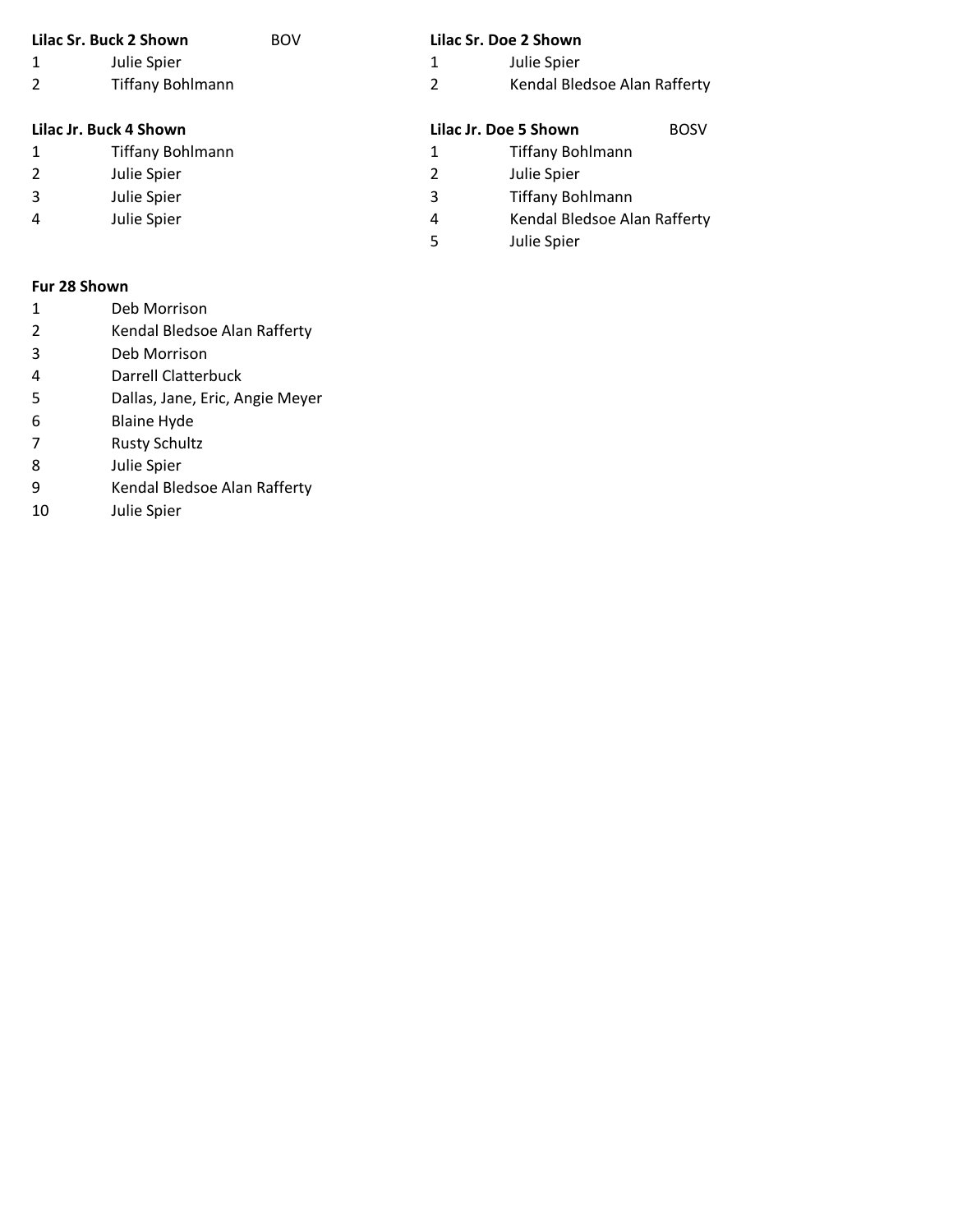| Lilac Sr. Buck 2 Shown |                         | <b>BOV</b> |   | Lilac Sr. Doe 2 Shown        |             |
|------------------------|-------------------------|------------|---|------------------------------|-------------|
| 1                      | Julie Spier             |            | 1 | Julie Spier                  |             |
| 2                      | <b>Tiffany Bohlmann</b> |            | 2 | Kendal Bledsoe Alan Rafferty |             |
|                        | Lilac Jr. Buck 4 Shown  |            |   | Lilac Jr. Doe 5 Shown        | <b>BOSV</b> |
| 1                      | <b>Tiffany Bohlmann</b> |            | 1 | <b>Tiffany Bohlmann</b>      |             |
| 2                      | Julie Spier             |            | 2 | Julie Spier                  |             |
| 3                      | Julie Spier             |            | 3 | <b>Tiffany Bohlmann</b>      |             |
| 4                      | Julie Spier             |            | 4 | Kendal Bledsoe Alan Rafferty |             |
|                        |                         |            | 5 | Julie Spier                  |             |
|                        |                         |            |   |                              |             |

### **Fur 28 Shown**

- Deb Morrison
- Kendal Bledsoe Alan Rafferty
- Deb Morrison
- Darrell Clatterbuck
- Dallas, Jane, Eric, Angie Meyer
- Blaine Hyde
- Rusty Schultz
- Julie Spier
- Kendal Bledsoe Alan Rafferty
- Julie Spier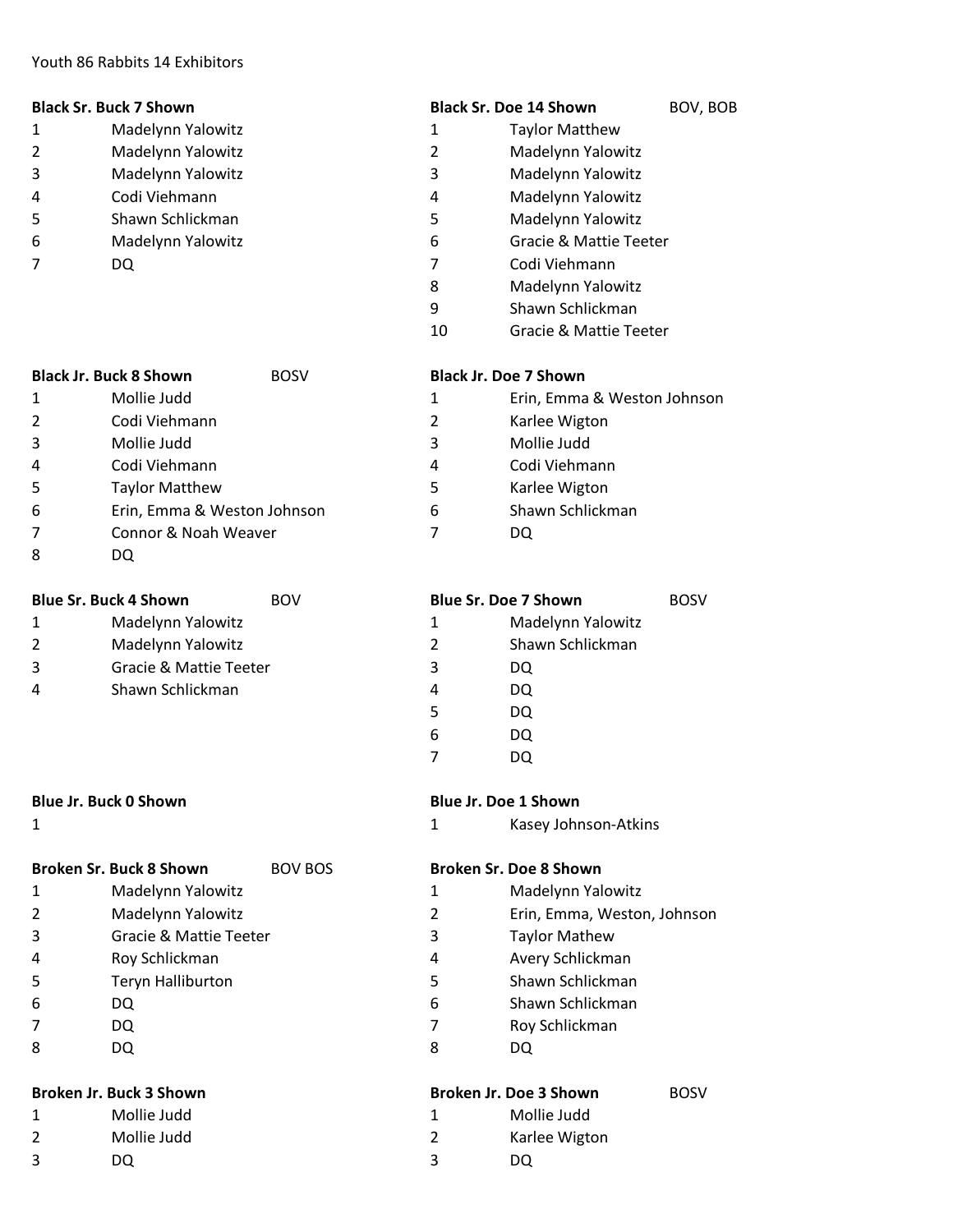#### Youth 86 Rabbits 14 Exhibitors

| <b>Black Sr. Buck 7 Shown</b> | <b>Black Sr. Doe 14 Shown</b> | BOV. BOB |
|-------------------------------|-------------------------------|----------|
|                               |                               |          |

- 
- 1 Madelynn Yalowitz 1 Taylor Matthew
- 2 Madelynn Yalowitz 2 Madelynn Yalowitz
- 3 Madelynn Yalowitz 3 Madelynn Yalowitz
- 4 Codi Viehmann 4 Madelynn Yalowitz
- 5 Shawn Schlickman 5 Madelynn Yalowitz
- 6 Madelynn Yalowitz 6 Gracie & Mattie Teeter
- 7 DQ 7 Codi Viehmann
	- 8 Madelynn Yalowitz
	- 9 Shawn Schlickman
	- 10 Gracie & Mattie Teeter

Karlee Wigton Mollie Judd Codi Viehmann Karlee Wigton Shawn Schlickman

Erin, Emma & Weston Johnson

|                | <b>Black Jr. Buck 8 Shown</b> | <b>BOSV</b> |   | <b>Black Jr. Doe 7 Shown</b> |
|----------------|-------------------------------|-------------|---|------------------------------|
| 1              | Mollie Judd                   |             | 1 | Erin, Emma                   |
| $\overline{2}$ | Codi Viehmann                 |             | 2 | Karlee Wigt                  |
| 3              | Mollie Judd                   |             | 3 | Mollie Judc                  |
| 4              | Codi Viehmann                 |             | 4 | Codi Viehm                   |
| 5              | <b>Taylor Matthew</b>         |             | 5 | Karlee Wigt                  |
| 6              | Erin, Emma & Weston Johnson   |             | 6 | Shawn Schl                   |
| $\overline{7}$ | Connor & Noah Weaver          |             | 7 | DQ                           |
| 8              | DQ                            |             |   |                              |

| <b>Blue Sr. Doe 7 Shown</b> |                   |  |  |
|-----------------------------|-------------------|--|--|
| 1                           | Madelynn Yalowitz |  |  |
| $\mathcal{P}$               | Shawn Schlickman  |  |  |
| 3                           | DQ                |  |  |
| 4                           | DQ                |  |  |
| 5                           | DQ                |  |  |
| 6                           | DQ                |  |  |
|                             |                   |  |  |
|                             |                   |  |  |

### **Blue Jr. Buck 0 Shown Blue Jr. Doe 1 Shown**

1 1 Kasey Johnson-Atkins

|   | Broken Sr. Buck 8 Shown           | <b>BOV BOS</b> | <b>Broken Sr. Doe</b> |      |
|---|-----------------------------------|----------------|-----------------------|------|
|   | Madelynn Yalowitz                 |                |                       | Ma   |
| 2 | Madelynn Yalowitz                 |                | 2                     | Erir |
| 3 | <b>Gracie &amp; Mattie Teeter</b> |                | 3                     | Тау  |
| 4 | Roy Schlickman                    |                | 4                     | Ave  |
| 5 | Teryn Halliburton                 |                | 5                     | Sha  |
| 6 | DQ                                |                | 6                     | Sha  |
|   | DQ                                |                |                       | Roy  |
| 8 | DQ                                |                | 8                     | DQ   |

**Blue Sr. Buck 4 Shown** BOV

1 Madelynn Yalowitz 1 Madelynn Yalowitz 2 Madelynn Yalowitz 3 Gracie & Mattie Teeter 4 Shawn Schlickman

- 1 Mollie Judd 1 Mollie Judd 2 Mollie Judd
- 
- 

# **Broken Sr. Buck 8 Shown** BOV BOS **Broken Sr. Doe 8 Shown**

- 1 Madelynn Yalowitz 1 Madelynn Yalowitz
- 2 Erin, Emma, Weston, Johnson
- 3 Taylor Mathew
- 4 Roy Schlickman 4 Avery Schlickman
- 5 Shawn Schlickman
- 6 Shawn Schlickman
- 7 Roy Schlickman
	-

| <b>Broken Jr. Buck 3 Shown</b> |             | Broken Jr. Doe 3 Shown |               | <b>BOSV</b> |
|--------------------------------|-------------|------------------------|---------------|-------------|
|                                | Mollie Judd |                        | Mollie Judd   |             |
|                                | Mollie Judd |                        | Karlee Wigton |             |
|                                | DO          |                        | DO            |             |